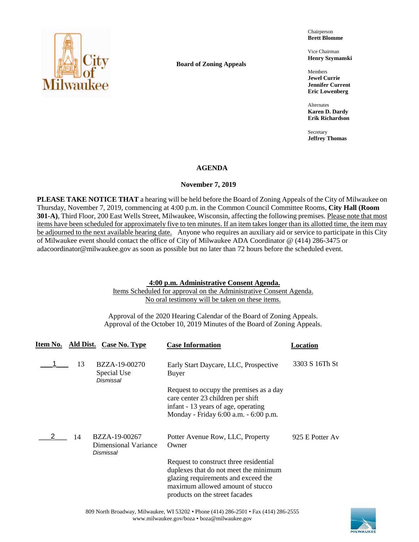

**Board of Zoning Appeals**

Chairperson **Brett Blomme**

Vice Chairman **Henry Szymanski**

Members **Jewel Currie Jennifer Current Eric Lowenberg**

Alternates **Karen D. Dardy Erik Richardson**

Secretary **Jeffrey Thomas**

## **AGENDA**

## **November 7, 2019**

**PLEASE TAKE NOTICE THAT** a hearing will be held before the Board of Zoning Appeals of the City of Milwaukee on Thursday, November 7, 2019, commencing at 4:00 p.m. in the Common Council Committee Rooms, **City Hall (Room 301-A)**, Third Floor, 200 East Wells Street, Milwaukee, Wisconsin, affecting the following premises. Please note that most items have been scheduled for approximately five to ten minutes. If an item takes longer than its allotted time, the item may be adjourned to the next available hearing date. Anyone who requires an auxiliary aid or service to participate in this City of Milwaukee event should contact the office of City of Milwaukee ADA Coordinator @ (414) 286-3475 or adacoordinator@milwaukee.gov as soon as possible but no later than 72 hours before the scheduled event.

## **4:00 p.m. Administrative Consent Agenda.**

Items Scheduled for approval on the Administrative Consent Agenda. No oral testimony will be taken on these items.

Approval of the 2020 Hearing Calendar of the Board of Zoning Appeals. Approval of the October 10, 2019 Minutes of the Board of Zoning Appeals.

|    | Item No. Ald Dist. Case No. Type                   | <b>Case Information</b>                                                                                                                                                                      | Location        |
|----|----------------------------------------------------|----------------------------------------------------------------------------------------------------------------------------------------------------------------------------------------------|-----------------|
| 13 | BZZA-19-00270<br>Special Use<br>Dismissal          | Early Start Daycare, LLC, Prospective<br>Buyer                                                                                                                                               | 3303 S 16Th St  |
|    |                                                    | Request to occupy the premises as a day<br>care center 23 children per shift<br>infant - 13 years of age, operating<br>Monday - Friday 6:00 a.m. - 6:00 p.m.                                 |                 |
| 14 | BZZA-19-00267<br>Dimensional Variance<br>Dismissal | Potter Avenue Row, LLC, Property<br>Owner                                                                                                                                                    | 925 E Potter Av |
|    |                                                    | Request to construct three residential<br>duplexes that do not meet the minimum<br>glazing requirements and exceed the<br>maximum allowed amount of stucco<br>products on the street facades |                 |

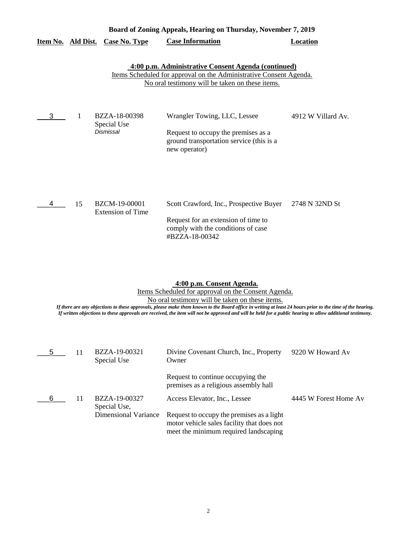| Board of Zoning Appeals, Hearing on Thursday, November 7, 2019                                                                                                                      |    |                                           |                                                                                                                                        |                    |
|-------------------------------------------------------------------------------------------------------------------------------------------------------------------------------------|----|-------------------------------------------|----------------------------------------------------------------------------------------------------------------------------------------|--------------------|
| Item No. Ald Dist.                                                                                                                                                                  |    | <b>Case No. Type</b>                      | <b>Case Information</b>                                                                                                                | <b>Location</b>    |
| 4:00 p.m. Administrative Consent Agenda (continued)<br><u>Items Scheduled for approval on the Administrative Consent Agenda.</u><br>No oral testimony will be taken on these items. |    |                                           |                                                                                                                                        |                    |
| 3                                                                                                                                                                                   | 1  | BZZA-18-00398<br>Special Use<br>Dismissal | Wrangler Towing, LLC, Lessee<br>Request to occupy the premises as a<br>ground transportation service (this is a<br>new operator)       | 4912 W Villard Av. |
| 4                                                                                                                                                                                   | 15 | BZCM-19-00001<br><b>Extension of Time</b> | Scott Crawford, Inc., Prospective Buyer<br>Request for an extension of time to<br>comply with the conditions of case<br>#BZZA-18-00342 | 2748 N 32ND St     |

# **4:00 p.m. Consent Agenda.**

Items Scheduled for approval on the Consent Agenda. No oral testimony will be taken on these items.

*If there are any objections to these approvals, please make them known to the Board office in writing at least 24 hours prior to the time of the hearing. If written objections to these approvals are received, the item will not be approved and will be held for a public hearing to allow additional testimony.*

|   | 11 | BZZA-19-00321<br>Special Use  | Divine Covenant Church, Inc., Property<br>Owner                            | 9220 W Howard Av      |
|---|----|-------------------------------|----------------------------------------------------------------------------|-----------------------|
|   |    |                               | Request to continue occupying the<br>premises as a religious assembly hall |                       |
| 6 | 11 | BZZA-19-00327<br>Special Use, | Access Elevator, Inc., Lessee                                              | 4445 W Forest Home Av |
|   |    | <b>Dimensional Variance</b>   | Request to occupy the premises as a light                                  |                       |
|   |    |                               | motor vehicle sales facility that does not                                 |                       |
|   |    |                               | meet the minimum required landscaping                                      |                       |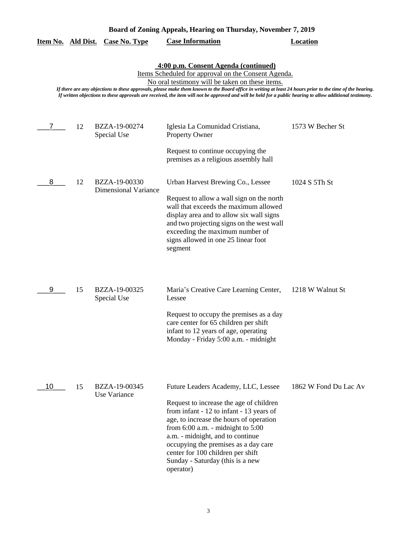| Board of Zoning Appeals, Hearing on Thursday, November 7, 2019                                                                                                                                                                                                                                                                                                                                                                                                           |    |                                              |                                                                                                                                                                                                                                                                                                                                                                                  |                       |  |
|--------------------------------------------------------------------------------------------------------------------------------------------------------------------------------------------------------------------------------------------------------------------------------------------------------------------------------------------------------------------------------------------------------------------------------------------------------------------------|----|----------------------------------------------|----------------------------------------------------------------------------------------------------------------------------------------------------------------------------------------------------------------------------------------------------------------------------------------------------------------------------------------------------------------------------------|-----------------------|--|
| <u>Item No. Ald Dist.</u>                                                                                                                                                                                                                                                                                                                                                                                                                                                |    | <b>Case No. Type</b>                         | <b>Case Information</b>                                                                                                                                                                                                                                                                                                                                                          | <b>Location</b>       |  |
| 4:00 p.m. Consent Agenda (continued)<br>Items Scheduled for approval on the Consent Agenda.<br>No oral testimony will be taken on these items.<br>If there are any objections to these approvals, please make them known to the Board office in writing at least 24 hours prior to the time of the hearing.<br>If written objections to these approvals are received, the item will not be approved and will be held for a public hearing to allow additional testimony. |    |                                              |                                                                                                                                                                                                                                                                                                                                                                                  |                       |  |
| 7                                                                                                                                                                                                                                                                                                                                                                                                                                                                        | 12 | BZZA-19-00274<br>Special Use                 | Iglesia La Comunidad Cristiana,<br><b>Property Owner</b><br>Request to continue occupying the                                                                                                                                                                                                                                                                                    | 1573 W Becher St      |  |
|                                                                                                                                                                                                                                                                                                                                                                                                                                                                          |    |                                              | premises as a religious assembly hall                                                                                                                                                                                                                                                                                                                                            |                       |  |
| 8                                                                                                                                                                                                                                                                                                                                                                                                                                                                        | 12 | BZZA-19-00330<br><b>Dimensional Variance</b> | Urban Harvest Brewing Co., Lessee<br>Request to allow a wall sign on the north<br>wall that exceeds the maximum allowed<br>display area and to allow six wall signs<br>and two projecting signs on the west wall<br>exceeding the maximum number of<br>signs allowed in one 25 linear foot<br>segment                                                                            | 1024 S 5Th St         |  |
| 9                                                                                                                                                                                                                                                                                                                                                                                                                                                                        | 15 | BZZA-19-00325<br>Special Use                 | Maria's Creative Care Learning Center,<br>Lessee<br>Request to occupy the premises as a day<br>care center for 65 children per shift<br>infant to 12 years of age, operating<br>Monday - Friday 5:00 a.m. - midnight                                                                                                                                                             | 1218 W Walnut St      |  |
| 10                                                                                                                                                                                                                                                                                                                                                                                                                                                                       | 15 | BZZA-19-00345<br><b>Use Variance</b>         | Future Leaders Academy, LLC, Lessee<br>Request to increase the age of children<br>from infant - 12 to infant - 13 years of<br>age, to increase the hours of operation<br>from $6:00$ a.m. - midnight to $5:00$<br>a.m. - midnight, and to continue<br>occupying the premises as a day care<br>center for 100 children per shift<br>Sunday - Saturday (this is a new<br>operator) | 1862 W Fond Du Lac Av |  |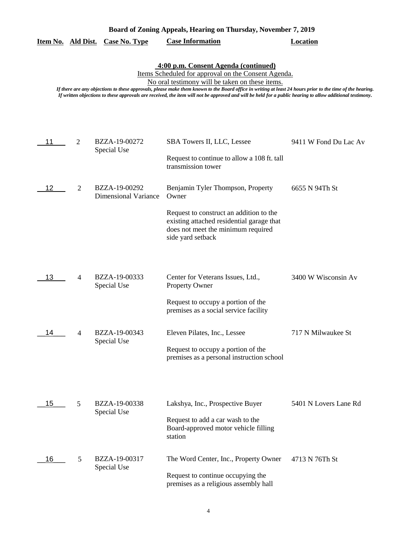| Board of Zoning Appeals, Hearing on Thursday, November 7, 2019 |   |                                              |                                                                                                                                                                                                                                                                                                                                                                                                                                                                          |                       |
|----------------------------------------------------------------|---|----------------------------------------------|--------------------------------------------------------------------------------------------------------------------------------------------------------------------------------------------------------------------------------------------------------------------------------------------------------------------------------------------------------------------------------------------------------------------------------------------------------------------------|-----------------------|
| Item No. Ald Dist.                                             |   | <b>Case No. Type</b>                         | <b>Case Information</b>                                                                                                                                                                                                                                                                                                                                                                                                                                                  | <b>Location</b>       |
|                                                                |   |                                              | 4:00 p.m. Consent Agenda (continued)<br>Items Scheduled for approval on the Consent Agenda.<br>No oral testimony will be taken on these items.<br>If there are any objections to these approvals, please make them known to the Board office in writing at least 24 hours prior to the time of the hearing.<br>If written objections to these approvals are received, the item will not be approved and will be held for a public hearing to allow additional testimony. |                       |
| 11                                                             | 2 | BZZA-19-00272<br>Special Use                 | SBA Towers II, LLC, Lessee<br>Request to continue to allow a 108 ft. tall<br>transmission tower                                                                                                                                                                                                                                                                                                                                                                          | 9411 W Fond Du Lac Av |
| 12                                                             | 2 | BZZA-19-00292<br><b>Dimensional Variance</b> | Benjamin Tyler Thompson, Property<br>Owner<br>Request to construct an addition to the<br>existing attached residential garage that<br>does not meet the minimum required<br>side yard setback                                                                                                                                                                                                                                                                            | 6655 N 94Th St        |
| 13                                                             | 4 | BZZA-19-00333<br>Special Use                 | Center for Veterans Issues, Ltd.,<br><b>Property Owner</b><br>Request to occupy a portion of the<br>premises as a social service facility                                                                                                                                                                                                                                                                                                                                | 3400 W Wisconsin Av   |
| 14                                                             | 4 | BZZA-19-00343<br>Special Use                 | Eleven Pilates, Inc., Lessee<br>Request to occupy a portion of the<br>premises as a personal instruction school                                                                                                                                                                                                                                                                                                                                                          | 717 N Milwaukee St    |
| 15                                                             | 5 | BZZA-19-00338<br>Special Use                 | Lakshya, Inc., Prospective Buyer<br>Request to add a car wash to the<br>Board-approved motor vehicle filling<br>station                                                                                                                                                                                                                                                                                                                                                  | 5401 N Lovers Lane Rd |
| 16                                                             | 5 | BZZA-19-00317<br>Special Use                 | The Word Center, Inc., Property Owner<br>Request to continue occupying the<br>premises as a religious assembly hall                                                                                                                                                                                                                                                                                                                                                      | 4713 N 76Th St        |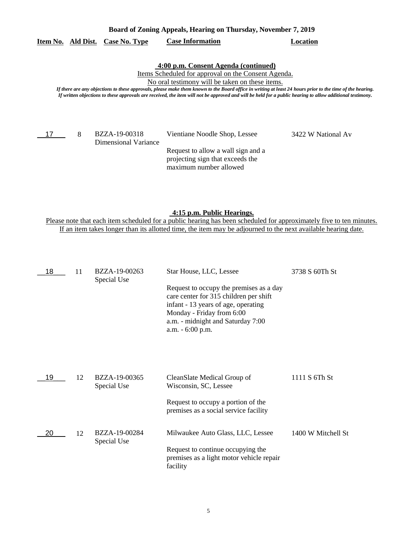### **Item No. Ald Dist. Case No. Type Case Information Location**

### **4:00 p.m. Consent Agenda (continued)**

Items Scheduled for approval on the Consent Agenda.

No oral testimony will be taken on these items.

*If there are any objections to these approvals, please make them known to the Board office in writing at least 24 hours prior to the time of the hearing. If written objections to these approvals are received, the item will not be approved and will be held for a public hearing to allow additional testimony.*

17 8

Dimensional Variance

BZZA-19-00318 Vientiane Noodle Shop, Lessee 3422 W National Av

Request to allow a wall sign and a projecting sign that exceeds the maximum number allowed

**4:15 p.m. Public Hearings.**

Please note that each item scheduled for a public hearing has been scheduled for approximately five to ten minutes. If an item takes longer than its allotted time, the item may be adjourned to the next available hearing date.

| 18 | 11 | BZZA-19-00263<br>Special Use | Star House, LLC, Lessee                                                                                                                                                                                        | 3738 S 60Th St     |
|----|----|------------------------------|----------------------------------------------------------------------------------------------------------------------------------------------------------------------------------------------------------------|--------------------|
|    |    |                              | Request to occupy the premises as a day<br>care center for 315 children per shift<br>infant - 13 years of age, operating<br>Monday - Friday from 6:00<br>a.m. - midnight and Saturday 7:00<br>a.m. - 6:00 p.m. |                    |
| 19 | 12 | BZZA-19-00365<br>Special Use | CleanSlate Medical Group of<br>Wisconsin, SC, Lessee                                                                                                                                                           | 1111 S 6Th St      |
|    |    |                              | Request to occupy a portion of the<br>premises as a social service facility                                                                                                                                    |                    |
| 20 | 12 | BZZA-19-00284<br>Special Use | Milwaukee Auto Glass, LLC, Lessee                                                                                                                                                                              | 1400 W Mitchell St |
|    |    |                              | Request to continue occupying the<br>premises as a light motor vehicle repair<br>facility                                                                                                                      |                    |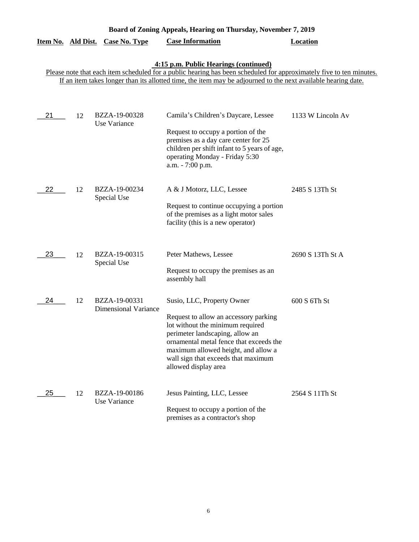| Board of Zoning Appeals, Hearing on Thursday, November 7, 2019 |    |                                              |                                                                                                                                                                                                                                                                                             |                   |
|----------------------------------------------------------------|----|----------------------------------------------|---------------------------------------------------------------------------------------------------------------------------------------------------------------------------------------------------------------------------------------------------------------------------------------------|-------------------|
| Item No. Ald Dist.                                             |    | <b>Case No. Type</b>                         | <b>Case Information</b>                                                                                                                                                                                                                                                                     | <b>Location</b>   |
|                                                                |    |                                              | 4:15 p.m. Public Hearings (continued)<br>Please note that each item scheduled for a public hearing has been scheduled for approximately five to ten minutes.<br>If an item takes longer than its allotted time, the item may be adjourned to the next available hearing date.               |                   |
| 21                                                             | 12 | BZZA-19-00328<br>Use Variance                | Camila's Children's Daycare, Lessee<br>Request to occupy a portion of the<br>premises as a day care center for 25<br>children per shift infant to 5 years of age,<br>operating Monday - Friday 5:30<br>a.m. - 7:00 p.m.                                                                     | 1133 W Lincoln Av |
| 22                                                             | 12 | BZZA-19-00234<br>Special Use                 | A & J Motorz, LLC, Lessee<br>Request to continue occupying a portion<br>of the premises as a light motor sales<br>facility (this is a new operator)                                                                                                                                         | 2485 S 13Th St    |
| 23                                                             | 12 | BZZA-19-00315<br>Special Use                 | Peter Mathews, Lessee<br>Request to occupy the premises as an<br>assembly hall                                                                                                                                                                                                              | 2690 S 13Th St A  |
| 24                                                             | 12 | BZZA-19-00331<br><b>Dimensional Variance</b> | Susio, LLC, Property Owner<br>Request to allow an accessory parking<br>lot without the minimum required<br>perimeter landscaping, allow an<br>ornamental metal fence that exceeds the<br>maximum allowed height, and allow a<br>wall sign that exceeds that maximum<br>allowed display area | 600 S 6Th St      |
| 25                                                             | 12 | BZZA-19-00186<br>Use Variance                | Jesus Painting, LLC, Lessee<br>Request to occupy a portion of the<br>premises as a contractor's shop                                                                                                                                                                                        | 2564 S 11Th St    |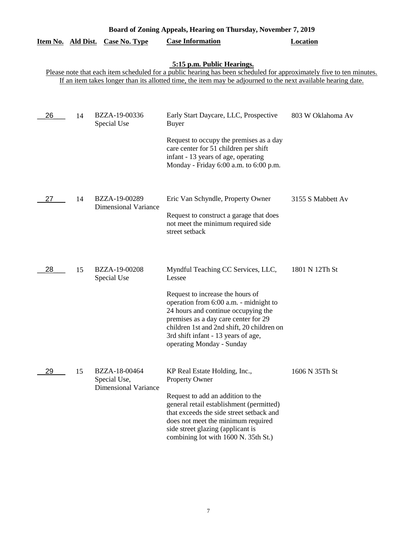|                           | Board of Zoning Appeals, Hearing on Thursday, November 7, 2019 |                                                              |                                                                                                                                                                                                                                                                             |                   |  |  |
|---------------------------|----------------------------------------------------------------|--------------------------------------------------------------|-----------------------------------------------------------------------------------------------------------------------------------------------------------------------------------------------------------------------------------------------------------------------------|-------------------|--|--|
| <u>Item No. Ald Dist.</u> |                                                                | <b>Case No. Type</b>                                         | <b>Case Information</b>                                                                                                                                                                                                                                                     | <b>Location</b>   |  |  |
|                           |                                                                |                                                              | 5:15 p.m. Public Hearings.<br>Please note that each item scheduled for a public hearing has been scheduled for approximately five to ten minutes.<br>If an item takes longer than its allotted time, the item may be adjourned to the next available hearing date.          |                   |  |  |
|                           |                                                                |                                                              |                                                                                                                                                                                                                                                                             |                   |  |  |
| 26                        | 14                                                             | BZZA-19-00336<br>Special Use                                 | Early Start Daycare, LLC, Prospective<br><b>Buyer</b>                                                                                                                                                                                                                       | 803 W Oklahoma Av |  |  |
|                           |                                                                |                                                              | Request to occupy the premises as a day<br>care center for 51 children per shift<br>infant - 13 years of age, operating<br>Monday - Friday 6:00 a.m. to 6:00 p.m.                                                                                                           |                   |  |  |
| 27                        | 14                                                             | BZZA-19-00289<br><b>Dimensional Variance</b>                 | Eric Van Schyndle, Property Owner                                                                                                                                                                                                                                           | 3155 S Mabbett Av |  |  |
|                           |                                                                |                                                              | Request to construct a garage that does<br>not meet the minimum required side<br>street setback                                                                                                                                                                             |                   |  |  |
| 28                        | 15                                                             | BZZA-19-00208<br>Special Use                                 | Myndful Teaching CC Services, LLC,<br>Lessee                                                                                                                                                                                                                                | 1801 N 12Th St    |  |  |
|                           |                                                                |                                                              | Request to increase the hours of<br>operation from 6:00 a.m. - midnight to<br>24 hours and continue occupying the<br>premises as a day care center for 29<br>children 1st and 2nd shift, 20 children on<br>3rd shift infant - 13 years of age,<br>operating Monday - Sunday |                   |  |  |
| 29                        | 15                                                             | BZZA-18-00464<br>Special Use,<br><b>Dimensional Variance</b> | KP Real Estate Holding, Inc.,<br>Property Owner                                                                                                                                                                                                                             | 1606 N 35Th St    |  |  |
|                           |                                                                |                                                              | Request to add an addition to the<br>general retail establishment (permitted)<br>that exceeds the side street setback and<br>does not meet the minimum required<br>side street glazing (applicant is<br>combining lot with 1600 N. 35th St.)                                |                   |  |  |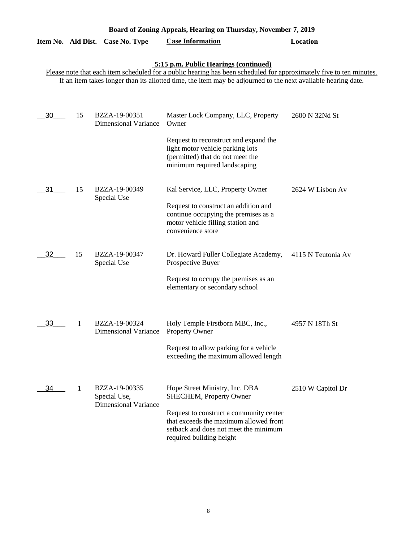|                    | Board of Zoning Appeals, Hearing on Thursday, November 7, 2019 |                                                              |                                                                                                                                                                                                                                                                               |                    |  |  |
|--------------------|----------------------------------------------------------------|--------------------------------------------------------------|-------------------------------------------------------------------------------------------------------------------------------------------------------------------------------------------------------------------------------------------------------------------------------|--------------------|--|--|
| Item No. Ald Dist. |                                                                | <b>Case No. Type</b>                                         | <b>Case Information</b>                                                                                                                                                                                                                                                       | <b>Location</b>    |  |  |
|                    |                                                                |                                                              | 5:15 p.m. Public Hearings (continued)<br>Please note that each item scheduled for a public hearing has been scheduled for approximately five to ten minutes.<br>If an item takes longer than its allotted time, the item may be adjourned to the next available hearing date. |                    |  |  |
| 30                 | 15                                                             | BZZA-19-00351<br><b>Dimensional Variance</b>                 | Master Lock Company, LLC, Property<br>Owner<br>Request to reconstruct and expand the<br>light motor vehicle parking lots<br>(permitted) that do not meet the<br>minimum required landscaping                                                                                  | 2600 N 32Nd St     |  |  |
| 31                 | 15                                                             | BZZA-19-00349<br>Special Use                                 | Kal Service, LLC, Property Owner<br>Request to construct an addition and<br>continue occupying the premises as a<br>motor vehicle filling station and<br>convenience store                                                                                                    | 2624 W Lisbon Av   |  |  |
| 32                 | 15                                                             | BZZA-19-00347<br>Special Use                                 | Dr. Howard Fuller Collegiate Academy,<br>Prospective Buyer<br>Request to occupy the premises as an<br>elementary or secondary school                                                                                                                                          | 4115 N Teutonia Av |  |  |
| 33                 | 1                                                              | BZZA-19-00324<br>Dimensional Variance Property Owner         | Holy Temple Firstborn MBC, Inc.,<br>Request to allow parking for a vehicle<br>exceeding the maximum allowed length                                                                                                                                                            | 4957 N 18Th St     |  |  |
| 34                 | 1                                                              | BZZA-19-00335<br>Special Use,<br><b>Dimensional Variance</b> | Hope Street Ministry, Inc. DBA<br><b>SHECHEM, Property Owner</b><br>Request to construct a community center<br>that exceeds the maximum allowed front<br>setback and does not meet the minimum<br>required building height                                                    | 2510 W Capitol Dr  |  |  |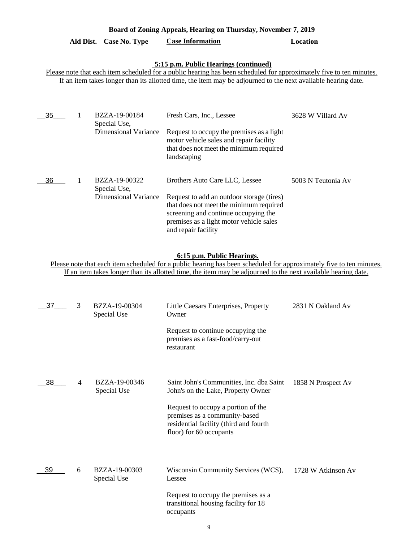# **Board of Zoning Appeals, Hearing on Thursday, November 7, 2019**

# **Ald Dist. Case No. Type Case Information Location**

# **5:15 p.m. Public Hearings (continued)**

Please note that each item scheduled for a public hearing has been scheduled for approximately five to ten minutes. If an item takes longer than its allotted time, the item may be adjourned to the next available hearing date.

| 35 | BZZA-19-00184<br>Special Use, | Fresh Cars, Inc., Lessee                                                                                                                                                                       | 3628 W Villard Av  |
|----|-------------------------------|------------------------------------------------------------------------------------------------------------------------------------------------------------------------------------------------|--------------------|
|    | <b>Dimensional Variance</b>   | Request to occupy the premises as a light<br>motor vehicle sales and repair facility<br>that does not meet the minimum required<br>landscaping                                                 |                    |
| 36 | BZZA-19-00322<br>Special Use, | Brothers Auto Care LLC, Lessee                                                                                                                                                                 | 5003 N Teutonia Av |
|    | <b>Dimensional Variance</b>   | Request to add an outdoor storage (tires)<br>that does not meet the minimum required<br>screening and continue occupying the<br>premises as a light motor vehicle sales<br>and repair facility |                    |

#### **6:15 p.m. Public Hearings.**

Please note that each item scheduled for a public hearing has been scheduled for approximately five to ten minutes. If an item takes longer than its allotted time, the item may be adjourned to the next available hearing date.

| 37 | 3 | BZZA-19-00304<br>Special Use | Little Caesars Enterprises, Property<br>Owner                                                                                            | 2831 N Oakland Av  |
|----|---|------------------------------|------------------------------------------------------------------------------------------------------------------------------------------|--------------------|
|    |   |                              | Request to continue occupying the<br>premises as a fast-food/carry-out<br>restaurant                                                     |                    |
| 38 | 4 | BZZA-19-00346<br>Special Use | Saint John's Communities, Inc. dba Saint<br>John's on the Lake, Property Owner                                                           | 1858 N Prospect Av |
|    |   |                              | Request to occupy a portion of the<br>premises as a community-based<br>residential facility (third and fourth<br>floor) for 60 occupants |                    |
| 39 | 6 | BZZA-19-00303<br>Special Use | Wisconsin Community Services (WCS),<br>Lessee                                                                                            | 1728 W Atkinson Av |
|    |   |                              | Request to occupy the premises as a<br>transitional housing facility for 18<br>occupants                                                 |                    |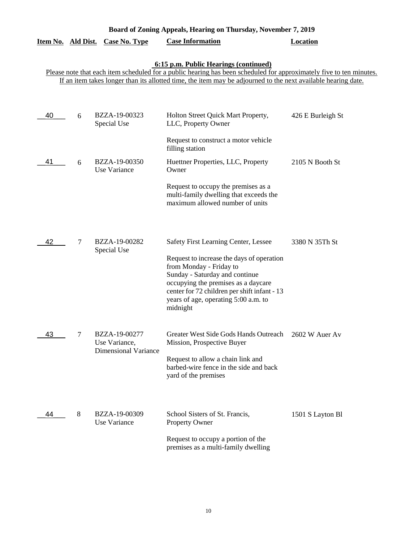| Board of Zoning Appeals, Hearing on Thursday, November 7, 2019 |   |                                              |                                                                                                                                                                                                                                                                                      |                   |
|----------------------------------------------------------------|---|----------------------------------------------|--------------------------------------------------------------------------------------------------------------------------------------------------------------------------------------------------------------------------------------------------------------------------------------|-------------------|
| Item No. Ald Dist.                                             |   | <b>Case No. Type</b>                         | <b>Case Information</b>                                                                                                                                                                                                                                                              | <b>Location</b>   |
|                                                                |   |                                              | 6:15 p.m. Public Hearings (continued)<br>Please note that each item scheduled for a public hearing has been scheduled for approximately five to ten minutes.                                                                                                                         |                   |
|                                                                |   |                                              | If an item takes longer than its allotted time, the item may be adjourned to the next available hearing date.                                                                                                                                                                        |                   |
| 40                                                             | 6 | BZZA-19-00323                                | Holton Street Quick Mart Property,                                                                                                                                                                                                                                                   | 426 E Burleigh St |
|                                                                |   | Special Use                                  | LLC, Property Owner                                                                                                                                                                                                                                                                  |                   |
|                                                                |   |                                              | Request to construct a motor vehicle<br>filling station                                                                                                                                                                                                                              |                   |
| 41                                                             | 6 | BZZA-19-00350<br>Use Variance                | Huettner Properties, LLC, Property<br>Owner                                                                                                                                                                                                                                          | 2105 N Booth St   |
|                                                                |   |                                              | Request to occupy the premises as a<br>multi-family dwelling that exceeds the<br>maximum allowed number of units                                                                                                                                                                     |                   |
| 42                                                             | 7 | BZZA-19-00282<br>Special Use                 | <b>Safety First Learning Center, Lessee</b><br>Request to increase the days of operation<br>from Monday - Friday to<br>Sunday - Saturday and continue<br>occupying the premises as a daycare<br>center for 72 children per shift infant - 13<br>years of age, operating 5:00 a.m. to | 3380 N 35Th St    |
| 43                                                             | 7 | BZZA-19-00277                                | midnight<br>Greater West Side Gods Hands Outreach                                                                                                                                                                                                                                    | 2602 W Auer Av    |
|                                                                |   | Use Variance,<br><b>Dimensional Variance</b> | Mission, Prospective Buyer<br>Request to allow a chain link and<br>barbed-wire fence in the side and back<br>yard of the premises                                                                                                                                                    |                   |
| 44                                                             | 8 | BZZA-19-00309<br>Use Variance                | School Sisters of St. Francis,<br>Property Owner<br>Request to occupy a portion of the<br>premises as a multi-family dwelling                                                                                                                                                        | 1501 S Layton Bl  |